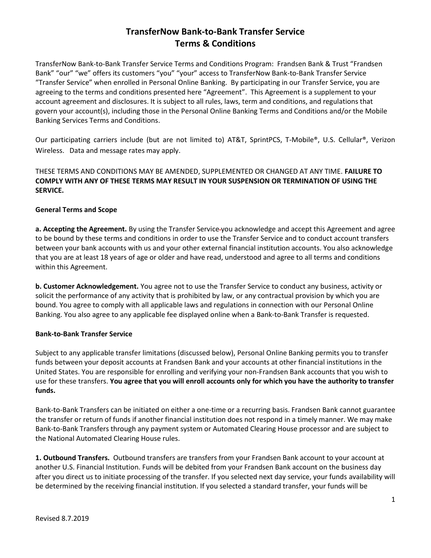# **TransferNow Bank-to-Bank Transfer Service Terms & Conditions**

TransferNow Bank-to-Bank Transfer Service Terms and Conditions Program: Frandsen Bank & Trust "Frandsen Bank" "our" "we" offers its customers "you" "your" access to TransferNow Bank-to-Bank Transfer Service "Transfer Service" when enrolled in Personal Online Banking. By participating in our Transfer Service, you are agreeing to the terms and conditions presented here "Agreement". This Agreement is a supplement to your account agreement and disclosures. It is subject to all rules, laws, term and conditions, and regulations that govern your account(s), including those in the Personal Online Banking Terms and Conditions and/or the Mobile Banking Services Terms and Conditions.

Our participating carriers include (but are not limited to) AT&T, SprintPCS, T-Mobile®, U.S. Cellular®, Verizon Wireless. Data and message rates may apply.

THESE TERMS AND CONDITIONS MAY BE AMENDED, SUPPLEMENTED OR CHANGED AT ANY TIME. **FAILURE TO COMPLY WITH ANY OF THESE TERMS MAY RESULT IN YOUR SUSPENSION OR TERMINATION OF USING THE SERVICE.**

### **General Terms and Scope**

**a. Accepting the Agreement.** By using the Transfer Service you acknowledge and accept this Agreement and agree to be bound by these terms and conditions in order to use the Transfer Service and to conduct account transfers between your bank accounts with us and your other external financial institution accounts. You also acknowledge that you are at least 18 years of age or older and have read, understood and agree to all terms and conditions within this Agreement.

**b. Customer Acknowledgement.** You agree not to use the Transfer Service to conduct any business, activity or solicit the performance of any activity that is prohibited by law, or any contractual provision by which you are bound. You agree to comply with all applicable laws and regulations in connection with our Personal Online Banking. You also agree to any applicable fee displayed online when a Bank-to-Bank Transfer is requested.

### **Bank-to-Bank Transfer Service**

Subject to any applicable transfer limitations (discussed below), Personal Online Banking permits you to transfer funds between your deposit accounts at Frandsen Bank and your accounts at other financial institutions in the United States. You are responsible for enrolling and verifying your non-Frandsen Bank accounts that you wish to use for these transfers. **You agree that you will enroll accounts only for which you have the authority to transfer funds.**

Bank-to-Bank Transfers can be initiated on either a one-time or a recurring basis. Frandsen Bank cannot guarantee the transfer or return of funds if another financial institution does not respond in a timely manner. We may make Bank-to-Bank Transfers through any payment system or Automated Clearing House processor and are subject to the National Automated Clearing House rules.

**1. Outbound Transfers.** Outbound transfers are transfers from your Frandsen Bank account to your account at another U.S. Financial Institution. Funds will be debited from your Frandsen Bank account on the business day after you direct us to initiate processing of the transfer. If you selected next day service, your funds availability will be determined by the receiving financial institution. If you selected a standard transfer, your funds will be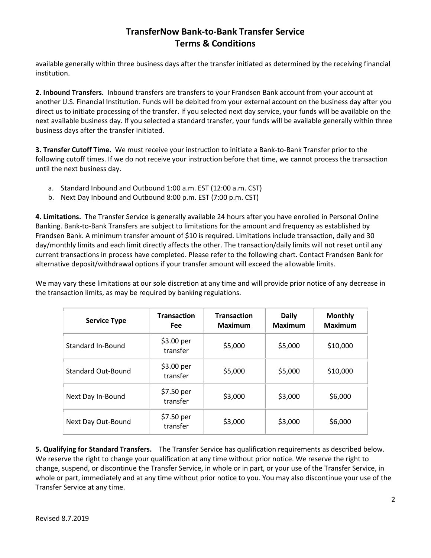# **TransferNow Bank-to-Bank Transfer Service Terms & Conditions**

available generally within three business days after the transfer initiated as determined by the receiving financial institution.

**2. Inbound Transfers.** Inbound transfers are transfers to your Frandsen Bank account from your account at another U.S. Financial Institution. Funds will be debited from your external account on the business day after you direct us to initiate processing of the transfer. If you selected next day service, your funds will be available on the next available business day. If you selected a standard transfer, your funds will be available generally within three business days after the transfer initiated.

**3. Transfer Cutoff Time.** We must receive your instruction to initiate a Bank-to-Bank Transfer prior to the following cutoff times. If we do not receive your instruction before that time, we cannot process the transaction until the next business day.

- a. Standard Inbound and Outbound 1:00 a.m. EST (12:00 a.m. CST)
- b. Next Day Inbound and Outbound 8:00 p.m. EST (7:00 p.m. CST)

**4. Limitations.** The Transfer Service is generally available 24 hours after you have enrolled in Personal Online Banking. Bank-to-Bank Transfers are subject to limitations for the amount and frequency as established by Frandsen Bank. A minimum transfer amount of \$10 is required. Limitations include transaction, daily and 30 day/monthly limits and each limit directly affects the other. The transaction/daily limits will not reset until any current transactions in process have completed. Please refer to the following chart. Contact Frandsen Bank for alternative deposit/withdrawal options if your transfer amount will exceed the allowable limits.

We may vary these limitations at our sole discretion at any time and will provide prior notice of any decrease in the transaction limits, as may be required by banking regulations.

| <b>Service Type</b>       | <b>Transaction</b><br>Fee | <b>Transaction</b><br><b>Maximum</b> | <b>Daily</b><br><b>Maximum</b> | <b>Monthly</b><br><b>Maximum</b> |
|---------------------------|---------------------------|--------------------------------------|--------------------------------|----------------------------------|
| Standard In-Bound         | \$3.00 per<br>transfer    | \$5,000                              | \$5,000                        | \$10,000                         |
| <b>Standard Out-Bound</b> | \$3.00~per<br>transfer    | \$5,000                              | \$5,000                        | \$10,000                         |
| Next Day In-Bound         | \$7.50 per<br>transfer    | \$3,000                              | \$3,000                        | \$6,000                          |
| Next Day Out-Bound        | \$7.50 per<br>transfer    | \$3,000                              | \$3,000                        | \$6,000                          |

**5. Qualifying for Standard Transfers.** The Transfer Service has qualification requirements as described below. We reserve the right to change your qualification at any time without prior notice. We reserve the right to change, suspend, or discontinue the Transfer Service, in whole or in part, or your use of the Transfer Service, in whole or part, immediately and at any time without prior notice to you. You may also discontinue your use of the Transfer Service at any time.